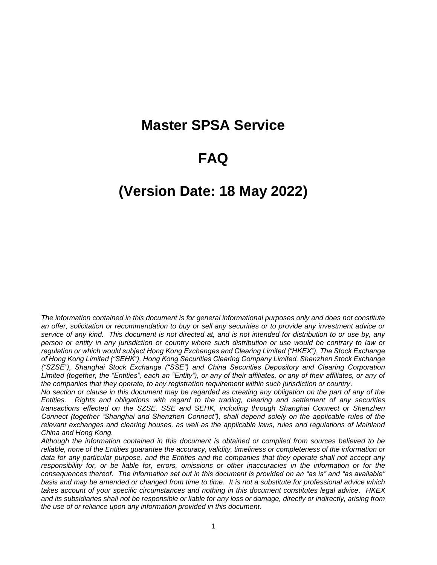# **Master SPSA Service**

# **FAQ**

# **(Version Date: 18 May 2022)**

*The information contained in this document is for general informational purposes only and does not constitute an offer, solicitation or recommendation to buy or sell any securities or to provide any investment advice or service of any kind. This document is not directed at, and is not intended for distribution to or use by, any person or entity in any jurisdiction or country where such distribution or use would be contrary to law or regulation or which would subject Hong Kong Exchanges and Clearing Limited ("HKEX"), The Stock Exchange of Hong Kong Limited ("SEHK"), Hong Kong Securities Clearing Company Limited, Shenzhen Stock Exchange ("SZSE"), Shanghai Stock Exchange ("SSE") and China Securities Depository and Clearing Corporation Limited (together, the "Entities", each an "Entity"), or any of their affiliates, or any of their affiliates, or any of the companies that they operate, to any registration requirement within such jurisdiction or country.* 

*No section or clause in this document may be regarded as creating any obligation on the part of any of the Entities. Rights and obligations with regard to the trading, clearing and settlement of any securities transactions effected on the SZSE, SSE and SEHK, including through Shanghai Connect or Shenzhen Connect (together "Shanghai and Shenzhen Connect"), shall depend solely on the applicable rules of the relevant exchanges and clearing houses, as well as the applicable laws, rules and regulations of Mainland China and Hong Kong.* 

*Although the information contained in this document is obtained or compiled from sources believed to be reliable, none of the Entities guarantee the accuracy, validity, timeliness or completeness of the information or data for any particular purpose, and the Entities and the companies that they operate shall not accept any responsibility for, or be liable for, errors, omissions or other inaccuracies in the information or for the consequences thereof. The information set out in this document is provided on an "as is" and "as available" basis and may be amended or changed from time to time. It is not a substitute for professional advice which takes account of your specific circumstances and nothing in this document constitutes legal advice. HKEX and its subsidiaries shall not be responsible or liable for any loss or damage, directly or indirectly, arising from the use of or reliance upon any information provided in this document.*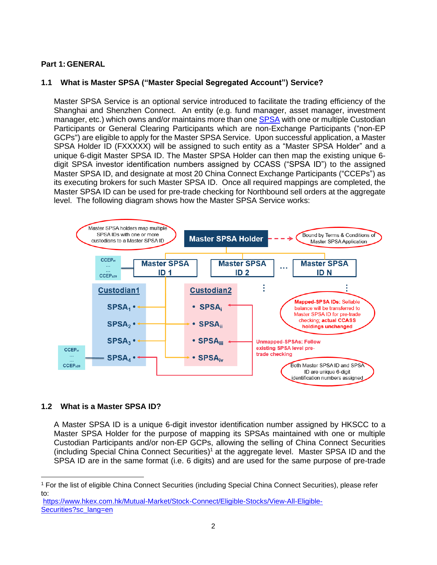# **Part 1: GENERAL**

# **1.1 What is Master SPSA ("Master Special Segregated Account") Service?**

Master SPSA Service is an optional service introduced to facilitate the trading efficiency of the Shanghai and Shenzhen Connect. An entity (e.g. fund manager, asset manager, investment manager, etc.) which owns and/or maintains more than one [SPSA](https://www.hkex.com.hk/Services/Settlement-and-Depository/Special-Segregated-Account-Services?sc_lang=en) with one or multiple Custodian Participants or General Clearing Participants which are non-Exchange Participants ("non-EP GCPs") are eligible to apply for the Master SPSA Service. Upon successful application, a Master SPSA Holder ID (FXXXXX) will be assigned to such entity as a "Master SPSA Holder" and a unique 6-digit Master SPSA ID. The Master SPSA Holder can then map the existing unique 6 digit SPSA investor identification numbers assigned by CCASS ("SPSA ID") to the assigned Master SPSA ID, and designate at most 20 China Connect Exchange Participants ("CCEPs") as its executing brokers for such Master SPSA ID. Once all required mappings are completed, the Master SPSA ID can be used for pre-trade checking for Northbound sell orders at the aggregate level. The following diagram shows how the Master SPSA Service works:



## **1.2 What is a Master SPSA ID?**

 $\ddot{\phantom{a}}$ 

A Master SPSA ID is a unique 6-digit investor identification number assigned by HKSCC to a Master SPSA Holder for the purpose of mapping its SPSAs maintained with one or multiple Custodian Participants and/or non-EP GCPs, allowing the selling of China Connect Securities (including Special China Connect Securities) <sup>1</sup> at the aggregate level. Master SPSA ID and the SPSA ID are in the same format (i.e. 6 digits) and are used for the same purpose of pre-trade

<sup>1</sup> For the list of eligible China Connect Securities (including Special China Connect Securities), please refer to:

[https://www.hkex.com.hk/Mutual-Market/Stock-Connect/Eligible-Stocks/View-All-Eligible-](https://www.hkex.com.hk/Mutual-Market/Stock-Connect/Eligible-Stocks/View-All-Eligible-Securities?sc_lang=en)[Securities?sc\\_lang=en](https://www.hkex.com.hk/Mutual-Market/Stock-Connect/Eligible-Stocks/View-All-Eligible-Securities?sc_lang=en)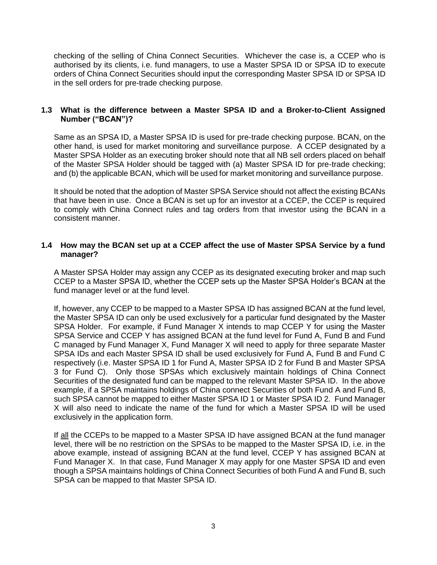checking of the selling of China Connect Securities. Whichever the case is, a CCEP who is authorised by its clients, i.e. fund managers, to use a Master SPSA ID or SPSA ID to execute orders of China Connect Securities should input the corresponding Master SPSA ID or SPSA ID in the sell orders for pre-trade checking purpose.

## **1.3 What is the difference between a Master SPSA ID and a Broker-to-Client Assigned Number ("BCAN")?**

Same as an SPSA ID, a Master SPSA ID is used for pre-trade checking purpose. BCAN, on the other hand, is used for market monitoring and surveillance purpose. A CCEP designated by a Master SPSA Holder as an executing broker should note that all NB sell orders placed on behalf of the Master SPSA Holder should be tagged with (a) Master SPSA ID for pre-trade checking; and (b) the applicable BCAN, which will be used for market monitoring and surveillance purpose.

It should be noted that the adoption of Master SPSA Service should not affect the existing BCANs that have been in use. Once a BCAN is set up for an investor at a CCEP, the CCEP is required to comply with China Connect rules and tag orders from that investor using the BCAN in a consistent manner.

## <span id="page-2-0"></span>**1.4 How may the BCAN set up at a CCEP affect the use of Master SPSA Service by a fund manager?**

A Master SPSA Holder may assign any CCEP as its designated executing broker and map such CCEP to a Master SPSA ID, whether the CCEP sets up the Master SPSA Holder's BCAN at the fund manager level or at the fund level.

If, however, any CCEP to be mapped to a Master SPSA ID has assigned BCAN at the fund level, the Master SPSA ID can only be used exclusively for a particular fund designated by the Master SPSA Holder. For example, if Fund Manager X intends to map CCEP Y for using the Master SPSA Service and CCEP Y has assigned BCAN at the fund level for Fund A, Fund B and Fund C managed by Fund Manager X, Fund Manager X will need to apply for three separate Master SPSA IDs and each Master SPSA ID shall be used exclusively for Fund A, Fund B and Fund C respectively (i.e. Master SPSA ID 1 for Fund A, Master SPSA ID 2 for Fund B and Master SPSA 3 for Fund C). Only those SPSAs which exclusively maintain holdings of China Connect Securities of the designated fund can be mapped to the relevant Master SPSA ID. In the above example, if a SPSA maintains holdings of China connect Securities of both Fund A and Fund B, such SPSA cannot be mapped to either Master SPSA ID 1 or Master SPSA ID 2. Fund Manager X will also need to indicate the name of the fund for which a Master SPSA ID will be used exclusively in the application form.

If all the CCEPs to be mapped to a Master SPSA ID have assigned BCAN at the fund manager level, there will be no restriction on the SPSAs to be mapped to the Master SPSA ID, i.e. in the above example, instead of assigning BCAN at the fund level, CCEP Y has assigned BCAN at Fund Manager X. In that case, Fund Manager X may apply for one Master SPSA ID and even though a SPSA maintains holdings of China Connect Securities of both Fund A and Fund B, such SPSA can be mapped to that Master SPSA ID.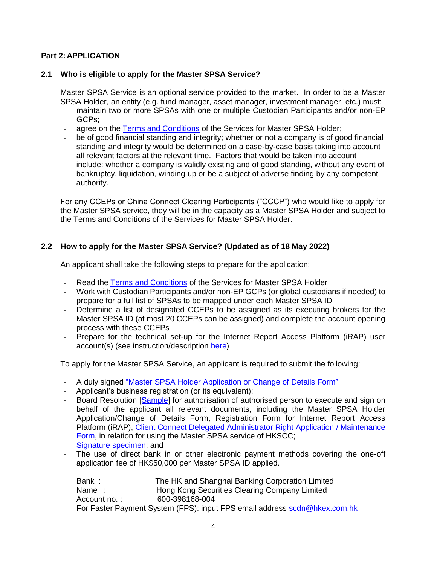# **Part 2: APPLICATION**

## **2.1 Who is eligible to apply for the Master SPSA Service?**

Master SPSA Service is an optional service provided to the market. In order to be a Master SPSA Holder, an entity (e.g. fund manager, asset manager, investment manager, etc.) must:

- maintain two or more SPSAs with one or multiple Custodian Participants and/or non-EP GCPs;
- agree on the [Terms and Conditions](https://www.hkex.com.hk/-/media/HKEX-Market/Mutual-Market/Stock-Connect/Reference-Materials/Master-SPSA-Service/Terms_and_Conditions_of_the_Services_for_Master_SPSA_Holder.pdf?la=en) of the Services for Master SPSA Holder;
- be of good financial standing and integrity; whether or not a company is of good financial standing and integrity would be determined on a case-by-case basis taking into account all relevant factors at the relevant time. Factors that would be taken into account include: whether a company is validly existing and of good standing, without any event of bankruptcy, liquidation, winding up or be a subject of adverse finding by any competent authority.

For any CCEPs or China Connect Clearing Participants ("CCCP") who would like to apply for the Master SPSA service, they will be in the capacity as a Master SPSA Holder and subject to the Terms and Conditions of the Services for Master SPSA Holder.

## **2.2 How to apply for the Master SPSA Service? (Updated as of 18 May 2022)**

An applicant shall take the following steps to prepare for the application:

- Read the [Terms and Conditions](https://www.hkex.com.hk/-/media/HKEX-Market/Mutual-Market/Stock-Connect/Reference-Materials/Master-SPSA-Service/Terms_and_Conditions_of_the_Services_for_Master_SPSA_Holder.pdf?la=en) of the Services for Master SPSA Holder
- Work with Custodian Participants and/or non-EP GCPs (or global custodians if needed) to prepare for a full list of SPSAs to be mapped under each Master SPSA ID
- Determine a list of designated CCEPs to be assigned as its executing brokers for the Master SPSA ID (at most 20 CCEPs can be assigned) and complete the account opening process with these CCEPs
- Prepare for the technical set-up for the Internet Report Access Platform (iRAP) user account(s) (see instruction/description [here\)](https://www.hkex.com.hk/-/media/HKEX-Market/Mutual-Market/Stock-Connect/Reference-Materials/Master-SPSA-Service/HKSCC_Internet_Report_Access_Platform_(iRAP)_Technical_Guide.pdf?la=en)

To apply for the Master SPSA Service, an applicant is required to submit the following:

- A duly signed ["Master SPSA Holder Application](https://www.hkex.com.hk/-/media/HKEX-Market/Mutual-Market/Stock-Connect/Reference-Materials/Master-SPSA-Service/Master_SPSA_Holder_Application_or_Change_of_Details_Form.pdf?la=en) or Change of Details Form"
- Applicant's business registration (or its equivalent);
- Board Resolution [\[Sample\]](https://www.hkex.com.hk/-/media/HKEX-Market/Mutual-Market/Stock-Connect/Reference-Materials/Master-SPSA-Service/Board_Resolution_(sample)__Admission_of_Master_SPSA_Holder.pdf?la=en) for authorisation of authorised person to execute and sign on behalf of the applicant all relevant documents, including the Master SPSA Holder Application/Change of Details Form, Registration Form for Internet Report Access Platform (iRAP), [Client Connect Delegated Administrator Right Application / Maintenance](https://www.hkex.com.hk/-/media/HKEX-Market/Services/Next-Generation-Post-Trade-Programme/Client-Connect-Delegated-Administrator-Rights-Application_Maintenance-Form.pdf?la=en)  [Form,](https://www.hkex.com.hk/-/media/HKEX-Market/Services/Next-Generation-Post-Trade-Programme/Client-Connect-Delegated-Administrator-Rights-Application_Maintenance-Form.pdf?la=en) in relation for using the Master SPSA service of HKSCC;
- [Signature specimen;](https://www.hkex.com.hk/-/media/HKEX-Market/Mutual-Market/Stock-Connect/Reference-Materials/Master-SPSA-Service/List_of_Authorised_Signatories_with_Specimen_Signatures__Master_SPSA_Holder.pdf?la=en) and
- The use of direct bank in or other electronic payment methods covering the one-off application fee of HK\$50,000 per Master SPSA ID applied.

Bank : The HK and Shanghai Banking Corporation Limited Name : Hong Kong Securities Clearing Company Limited Account no. : 600-398168-004 For Faster Payment System (FPS): input FPS email address [scdn@hkex.com.hk](mailto:scdn@hkex.com.hk)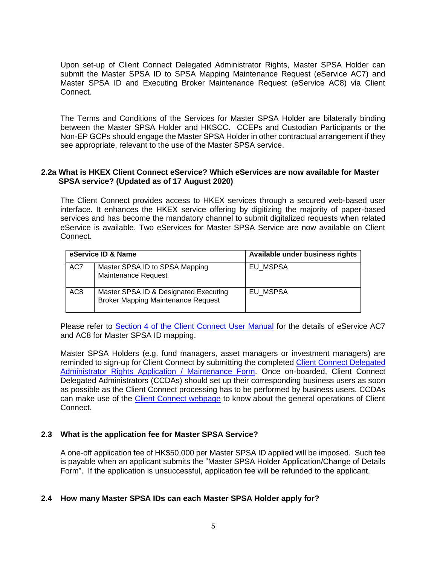Upon set-up of Client Connect Delegated Administrator Rights, Master SPSA Holder can submit the Master SPSA ID to SPSA Mapping Maintenance Request (eService AC7) and Master SPSA ID and Executing Broker Maintenance Request (eService AC8) via Client Connect.

The Terms and Conditions of the Services for Master SPSA Holder are bilaterally binding between the Master SPSA Holder and HKSCC. CCEPs and Custodian Participants or the Non-EP GCPs should engage the Master SPSA Holder in other contractual arrangement if they see appropriate, relevant to the use of the Master SPSA service.

## **2.2a What is HKEX Client Connect eService? Which eServices are now available for Master SPSA service? (Updated as of 17 August 2020)**

The Client Connect provides access to HKEX services through a secured web-based user interface. It enhances the HKEX service offering by digitizing the majority of paper-based services and has become the mandatory channel to submit digitalized requests when related eService is available. Two eServices for Master SPSA Service are now available on Client Connect.

| eService ID & Name |                                                                                    | Available under business rights |
|--------------------|------------------------------------------------------------------------------------|---------------------------------|
| AC7                | Master SPSA ID to SPSA Mapping<br>Maintenance Request                              | EU MSPSA                        |
| AC <sub>8</sub>    | Master SPSA ID & Designated Executing<br><b>Broker Mapping Maintenance Request</b> | <b>EU MSPSA</b>                 |

Please refer to [Section 4 of the Client Connect User Manual](https://www.hkex.com.hk/Services/Next-Generation-Post-Trade-Programme/Client-Connect/User-Manual?sc_lang=en) for the details of eService AC7 and AC8 for Master SPSA ID mapping.

Master SPSA Holders (e.g. fund managers, asset managers or investment managers) are reminded to sign-up for Client Connect by submitting the completed [Client Connect Delegated](https://www.hkex.com.hk/-/media/HKEX-Market/Services/Next-Generation-Post-Trade-Programme/Client-Connect-Delegated-Administrator-Rights-Application_Maintenance-Form.pdf?la=en)  [Administrator Rights Application / Maintenance Form.](https://www.hkex.com.hk/-/media/HKEX-Market/Services/Next-Generation-Post-Trade-Programme/Client-Connect-Delegated-Administrator-Rights-Application_Maintenance-Form.pdf?la=en) Once on-boarded, Client Connect Delegated Administrators (CCDAs) should set up their corresponding business users as soon as possible as the Client Connect processing has to be performed by business users. CCDAs can make use of the [Client Connect webpage](https://www.hkex.com.hk/Services/Next-Generation-Post-Trade-Programme/Client-Connect?sc_lang=en) to know about the general operations of Client Connect.

## **2.3 What is the application fee for Master SPSA Service?**

A one-off application fee of HK\$50,000 per Master SPSA ID applied will be imposed. Such fee is payable when an applicant submits the "Master SPSA Holder Application/Change of Details Form". If the application is unsuccessful, application fee will be refunded to the applicant.

#### **2.4 How many Master SPSA IDs can each Master SPSA Holder apply for?**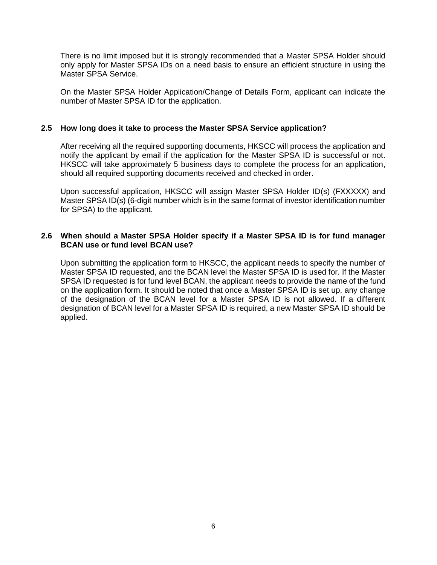There is no limit imposed but it is strongly recommended that a Master SPSA Holder should only apply for Master SPSA IDs on a need basis to ensure an efficient structure in using the Master SPSA Service.

On the Master SPSA Holder Application/Change of Details Form, applicant can indicate the number of Master SPSA ID for the application.

#### **2.5 How long does it take to process the Master SPSA Service application?**

After receiving all the required supporting documents, HKSCC will process the application and notify the applicant by email if the application for the Master SPSA ID is successful or not. HKSCC will take approximately 5 business days to complete the process for an application, should all required supporting documents received and checked in order.

Upon successful application, HKSCC will assign Master SPSA Holder ID(s) (FXXXXX) and Master SPSA ID(s) (6-digit number which is in the same format of investor identification number for SPSA) to the applicant.

## **2.6 When should a Master SPSA Holder specify if a Master SPSA ID is for fund manager BCAN use or fund level BCAN use?**

Upon submitting the application form to HKSCC, the applicant needs to specify the number of Master SPSA ID requested, and the BCAN level the Master SPSA ID is used for. If the Master SPSA ID requested is for fund level BCAN, the applicant needs to provide the name of the fund on the application form. It should be noted that once a Master SPSA ID is set up, any change of the designation of the BCAN level for a Master SPSA ID is not allowed. If a different designation of BCAN level for a Master SPSA ID is required, a new Master SPSA ID should be applied.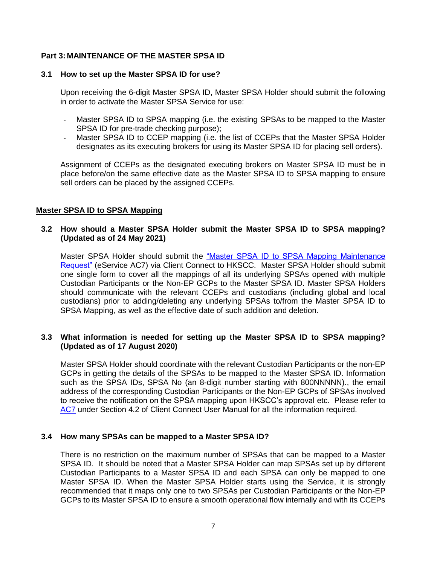# **Part 3: MAINTENANCE OF THE MASTER SPSA ID**

#### **3.1 How to set up the Master SPSA ID for use?**

Upon receiving the 6-digit Master SPSA ID, Master SPSA Holder should submit the following in order to activate the Master SPSA Service for use:

- Master SPSA ID to SPSA mapping (i.e. the existing SPSAs to be mapped to the Master SPSA ID for pre-trade checking purpose);
- Master SPSA ID to CCEP mapping (i.e. the list of CCEPs that the Master SPSA Holder designates as its executing brokers for using its Master SPSA ID for placing sell orders).

Assignment of CCEPs as the designated executing brokers on Master SPSA ID must be in place before/on the same effective date as the Master SPSA ID to SPSA mapping to ensure sell orders can be placed by the assigned CCEPs.

## **Master SPSA ID to SPSA Mapping**

## **3.2 How should a Master SPSA Holder submit the Master SPSA ID to SPSA mapping? (Updated as of 24 May 2021)**

Master SPSA Holder should submit the "Master SPSA ID to SPSA Mapping Maintenance [Request"](https://www.hkex.com.hk/-/media/HKEX-Market/Services/Next-Generation-Post-Trade-Programme/Stock-connect-User-manual/Client-Connect_Sect42_AC-7.pdf?la=en) (eService AC7) via Client Connect to HKSCC. Master SPSA Holder should submit one single form to cover all the mappings of all its underlying SPSAs opened with multiple Custodian Participants or the Non-EP GCPs to the Master SPSA ID. Master SPSA Holders should communicate with the relevant CCEPs and custodians (including global and local custodians) prior to adding/deleting any underlying SPSAs to/from the Master SPSA ID to SPSA Mapping, as well as the effective date of such addition and deletion.

## **3.3 What information is needed for setting up the Master SPSA ID to SPSA mapping? (Updated as of 17 August 2020)**

Master SPSA Holder should coordinate with the relevant Custodian Participants or the non-EP GCPs in getting the details of the SPSAs to be mapped to the Master SPSA ID. Information such as the SPSA IDs, SPSA No (an 8-digit number starting with 800NNNNN)., the email address of the corresponding Custodian Participants or the Non-EP GCPs of SPSAs involved to receive the notification on the SPSA mapping upon HKSCC's approval etc. Please refer to [AC7](https://www.hkex.com.hk/-/media/HKEX-Market/Services/Next-Generation-Post-Trade-Programme/Stock-connect-User-manual/Client-Connect_Sect42_AC-7.pdf?la=en) under Section 4.2 of Client Connect User Manual for all the information required.

## **3.4 How many SPSAs can be mapped to a Master SPSA ID?**

There is no restriction on the maximum number of SPSAs that can be mapped to a Master SPSA ID. It should be noted that a Master SPSA Holder can map SPSAs set up by different Custodian Participants to a Master SPSA ID and each SPSA can only be mapped to one Master SPSA ID. When the Master SPSA Holder starts using the Service, it is strongly recommended that it maps only one to two SPSAs per Custodian Participants or the Non-EP GCPs to its Master SPSA ID to ensure a smooth operational flow internally and with its CCEPs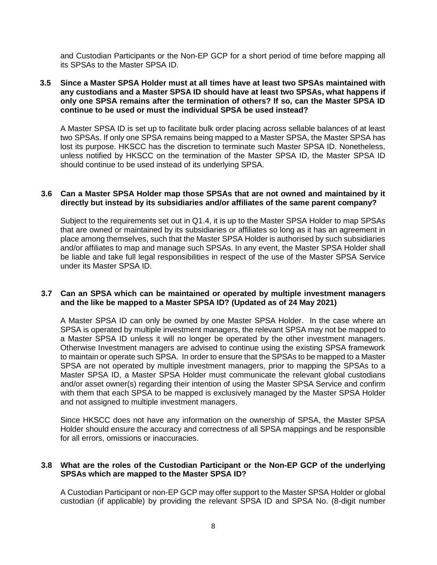and Custodian Participants or the Non-EP GCP for a short period of time before mapping all its SPSAs to the Master SPSA ID.

#### **3.5 Since a Master SPSA Holder must at all times have at least two SPSAs maintained with any custodians and a Master SPSA ID should have at least two SPSAs, what happens if only one SPSA remains after the termination of others? If so, can the Master SPSA ID continue to be used or must the individual SPSA be used instead?**

A Master SPSA ID is set up to facilitate bulk order placing across sellable balances of at least two SPSAs. If only one SPSA remains being mapped to a Master SPSA, the Master SPSA has lost its purpose. HKSCC has the discretion to terminate such Master SPSA ID. Nonetheless, unless notified by HKSCC on the termination of the Master SPSA ID, the Master SPSA ID should continue to be used instead of its underlying SPSA.

#### **3.6 Can a Master SPSA Holder map those SPSAs that are not owned and maintained by it directly but instead by its subsidiaries and/or affiliates of the same parent company?**

Subject to the requirements set out in [Q1.4,](#page-2-0) it is up to the Master SPSA Holder to map SPSAs that are owned or maintained by its subsidiaries or affiliates so long as it has an agreement in place among themselves, such that the Master SPSA Holder is authorised by such subsidiaries and/or affiliates to map and manage such SPSAs. In any event, the Master SPSA Holder shall be liable and take full legal responsibilities in respect of the use of the Master SPSA Service under its Master SPSA ID.

#### **3.7 Can an SPSA which can be maintained or operated by multiple investment managers and the like be mapped to a Master SPSA ID? (Updated as of 24 May 2021)**

A Master SPSA ID can only be owned by one Master SPSA Holder. In the case where an SPSA is operated by multiple investment managers, the relevant SPSA may not be mapped to a Master SPSA ID unless it will no longer be operated by the other investment managers. Otherwise Investment managers are advised to continue using the existing SPSA framework to maintain or operate such SPSA. In order to ensure that the SPSAs to be mapped to a Master SPSA are not operated by multiple investment managers, prior to mapping the SPSAs to a Master SPSA ID, a Master SPSA Holder must communicate the relevant global custodians and/or asset owner(s) regarding their intention of using the Master SPSA Service and confirm with them that each SPSA to be mapped is exclusively managed by the Master SPSA Holder and not assigned to multiple investment managers.

Since HKSCC does not have any information on the ownership of SPSA, the Master SPSA Holder should ensure the accuracy and correctness of all SPSA mappings and be responsible for all errors, omissions or inaccuracies.

## **3.8 What are the roles of the Custodian Participant or the Non-EP GCP of the underlying SPSAs which are mapped to the Master SPSA ID?**

A Custodian Participant or non-EP GCP may offer support to the Master SPSA Holder or global custodian (if applicable) by providing the relevant SPSA ID and SPSA No. (8-digit number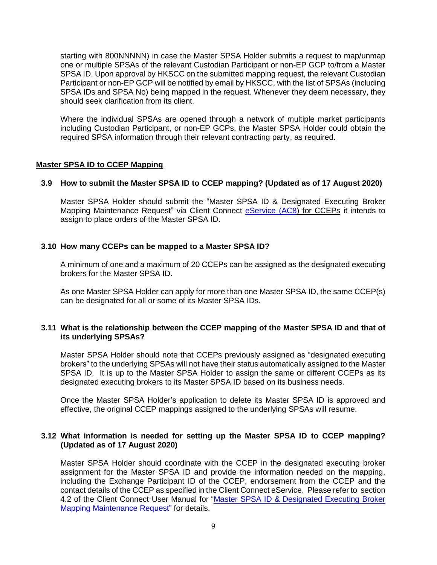starting with 800NNNNN) in case the Master SPSA Holder submits a request to map/unmap one or multiple SPSAs of the relevant Custodian Participant or non-EP GCP to/from a Master SPSA ID. Upon approval by HKSCC on the submitted mapping request, the relevant Custodian Participant or non-EP GCP will be notified by email by HKSCC, with the list of SPSAs (including SPSA IDs and SPSA No) being mapped in the request. Whenever they deem necessary, they should seek clarification from its client.

Where the individual SPSAs are opened through a network of multiple market participants including Custodian Participant, or non-EP GCPs, the Master SPSA Holder could obtain the required SPSA information through their relevant contracting party, as required.

## **Master SPSA ID to CCEP Mapping**

## **3.9 How to submit the Master SPSA ID to CCEP mapping? (Updated as of 17 August 2020)**

Master SPSA Holder should submit the "Master SPSA ID & Designated Executing Broker Mapping Maintenance Request" via Client Connect [eService \(AC8\)](https://connect-am.hkex.com.hk/openam/XUI/?realm=/eu&forward=true&spEntityID=https://connect.hkex.com.hk:443&goto=/SSORedirect/metaAlias/eu/idp?ReqID%3D_eff9bf8f-dbb5-45f9-b89c-0b825f72a7a7%26index%3Dnull%26acsURL%3D%26spEntityID%3Dhttps://connect.hkex.com.hk:443%26binding%3Durn:oasis:names:tc:SAML:2.0:bindings:HTTP-POST&AMAuthCookie=#login/) for CCEPs it intends to assign to place orders of the Master SPSA ID.

## **3.10 How many CCEPs can be mapped to a Master SPSA ID?**

A minimum of one and a maximum of 20 CCEPs can be assigned as the designated executing brokers for the Master SPSA ID.

As one Master SPSA Holder can apply for more than one Master SPSA ID, the same CCEP(s) can be designated for all or some of its Master SPSA IDs.

#### **3.11 What is the relationship between the CCEP mapping of the Master SPSA ID and that of its underlying SPSAs?**

Master SPSA Holder should note that CCEPs previously assigned as "designated executing brokers" to the underlying SPSAs will not have their status automatically assigned to the Master SPSA ID. It is up to the Master SPSA Holder to assign the same or different CCEPs as its designated executing brokers to its Master SPSA ID based on its business needs.

Once the Master SPSA Holder's application to delete its Master SPSA ID is approved and effective, the original CCEP mappings assigned to the underlying SPSAs will resume.

## **3.12 What information is needed for setting up the Master SPSA ID to CCEP mapping? (Updated as of 17 August 2020)**

Master SPSA Holder should coordinate with the CCEP in the designated executing broker assignment for the Master SPSA ID and provide the information needed on the mapping, including the Exchange Participant ID of the CCEP, endorsement from the CCEP and the contact details of the CCEP as specified in the Client Connect eService. Please refer to section 4.2 of the Client Connect User Manual for ["Master SPSA ID & Designated Executing Broker](https://www.hkex.com.hk/-/media/HKEX-Market/Services/Next-Generation-Post-Trade-Programme/Stock-connect-User-manual/Client-Connect_Sect42_AC-8.pdf?la=en)  [Mapping Maintenance Request"](https://www.hkex.com.hk/-/media/HKEX-Market/Services/Next-Generation-Post-Trade-Programme/Stock-connect-User-manual/Client-Connect_Sect42_AC-8.pdf?la=en) for details.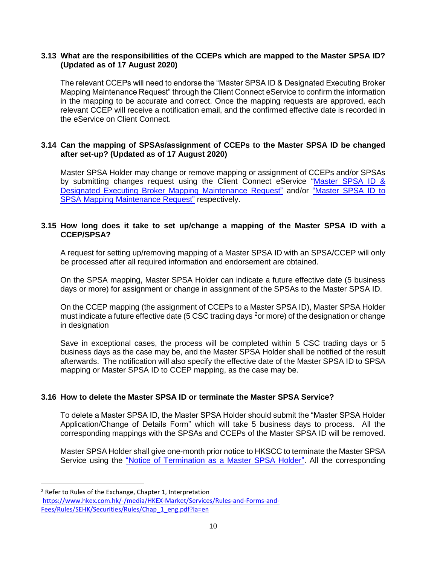## **3.13 What are the responsibilities of the CCEPs which are mapped to the Master SPSA ID? (Updated as of 17 August 2020)**

The relevant CCEPs will need to endorse the "Master SPSA ID & Designated Executing Broker Mapping Maintenance Request" through the Client Connect eService to confirm the information in the mapping to be accurate and correct. Once the mapping requests are approved, each relevant CCEP will receive a notification email, and the confirmed effective date is recorded in the eService on Client Connect.

# **3.14 Can the mapping of SPSAs/assignment of CCEPs to the Master SPSA ID be changed after set-up? (Updated as of 17 August 2020)**

Master SPSA Holder may change or remove mapping or assignment of CCEPs and/or SPSAs by submitting changes request using the Client Connect eService ["Master SPSA ID &](https://www.hkex.com.hk/-/media/HKEX-Market/Services/Next-Generation-Post-Trade-Programme/Stock-connect-User-manual/Client-Connect_Sect42_AC-8.pdf?la=en)  [Designated Executing Broker Mapping Maintenance Request"](https://www.hkex.com.hk/-/media/HKEX-Market/Services/Next-Generation-Post-Trade-Programme/Stock-connect-User-manual/Client-Connect_Sect42_AC-8.pdf?la=en) and/or ["Master SPSA ID to](https://www.hkex.com.hk/-/media/HKEX-Market/Services/Next-Generation-Post-Trade-Programme/Stock-connect-User-manual/Client-Connect_Sect42_AC-7.pdf?la=en)  [SPSA Mapping Maintenance Request"](https://www.hkex.com.hk/-/media/HKEX-Market/Services/Next-Generation-Post-Trade-Programme/Stock-connect-User-manual/Client-Connect_Sect42_AC-7.pdf?la=en) respectively.

## **3.15 How long does it take to set up/change a mapping of the Master SPSA ID with a CCEP/SPSA?**

A request for setting up/removing mapping of a Master SPSA ID with an SPSA/CCEP will only be processed after all required information and endorsement are obtained.

On the SPSA mapping, Master SPSA Holder can indicate a future effective date (5 business days or more) for assignment or change in assignment of the SPSAs to the Master SPSA ID.

On the CCEP mapping (the assignment of CCEPs to a Master SPSA ID), Master SPSA Holder must indicate a future effective date (5 CSC trading days <sup>2</sup>or more) of the designation or change in designation

Save in exceptional cases, the process will be completed within 5 CSC trading days or 5 business days as the case may be, and the Master SPSA Holder shall be notified of the result afterwards. The notification will also specify the effective date of the Master SPSA ID to SPSA mapping or Master SPSA ID to CCEP mapping, as the case may be.

# **3.16 How to delete the Master SPSA ID or terminate the Master SPSA Service?**

To delete a Master SPSA ID, the Master SPSA Holder should submit the "Master SPSA Holder Application/Change of Details Form" which will take 5 business days to process. All the corresponding mappings with the SPSAs and CCEPs of the Master SPSA ID will be removed.

Master SPSA Holder shall give one-month prior notice to HKSCC to terminate the Master SPSA Service using the ["Notice of Termination as a Master SPSA Holder".](https://www.hkex.com.hk/-/media/HKEX-Market/Mutual-Market/Stock-Connect/Reference-Materials/Master-SPSA-Service/Notice_of_Termination_as_a_Master_SPSA_Holder.pdf?la=en) All the corresponding

 $\ddot{\phantom{a}}$ 

<sup>2</sup> Refer to Rules of the Exchange, Chapter 1, Interpretation [https://www.hkex.com.hk/-/media/HKEX-Market/Services/Rules-and-Forms-and-](https://www.hkex.com.hk/-/media/HKEX-Market/Services/Rules-and-Forms-and-Fees/Rules/SEHK/Securities/Rules/Chap_1_eng.pdf?la=en)[Fees/Rules/SEHK/Securities/Rules/Chap\\_1\\_eng.pdf?la=en](https://www.hkex.com.hk/-/media/HKEX-Market/Services/Rules-and-Forms-and-Fees/Rules/SEHK/Securities/Rules/Chap_1_eng.pdf?la=en)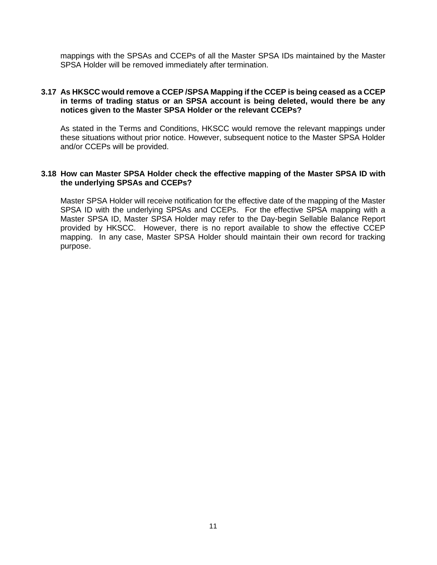mappings with the SPSAs and CCEPs of all the Master SPSA IDs maintained by the Master SPSA Holder will be removed immediately after termination.

## **3.17 As HKSCC would remove a CCEP /SPSA Mapping if the CCEP is being ceased as a CCEP in terms of trading status or an SPSA account is being deleted, would there be any notices given to the Master SPSA Holder or the relevant CCEPs?**

As stated in the Terms and Conditions, HKSCC would remove the relevant mappings under these situations without prior notice. However, subsequent notice to the Master SPSA Holder and/or CCEPs will be provided.

#### **3.18 How can Master SPSA Holder check the effective mapping of the Master SPSA ID with the underlying SPSAs and CCEPs?**

Master SPSA Holder will receive notification for the effective date of the mapping of the Master SPSA ID with the underlying SPSAs and CCEPs. For the effective SPSA mapping with a Master SPSA ID, Master SPSA Holder may refer to the Day-begin Sellable Balance Report provided by HKSCC. However, there is no report available to show the effective CCEP mapping. In any case, Master SPSA Holder should maintain their own record for tracking purpose.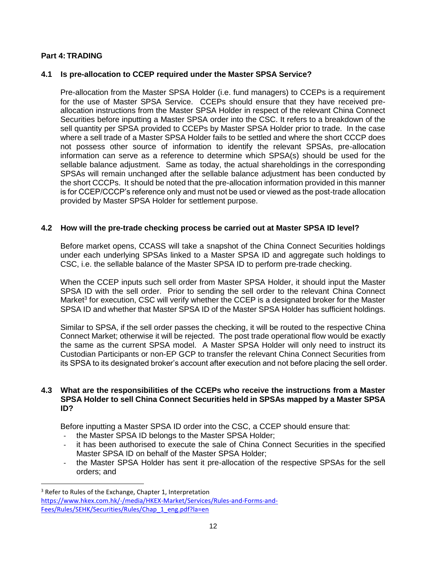## **Part 4: TRADING**

 $\ddot{\phantom{a}}$ 

## **4.1 Is pre-allocation to CCEP required under the Master SPSA Service?**

Pre-allocation from the Master SPSA Holder (i.e. fund managers) to CCEPs is a requirement for the use of Master SPSA Service. CCEPs should ensure that they have received preallocation instructions from the Master SPSA Holder in respect of the relevant China Connect Securities before inputting a Master SPSA order into the CSC. It refers to a breakdown of the sell quantity per SPSA provided to CCEPs by Master SPSA Holder prior to trade. In the case where a sell trade of a Master SPSA Holder fails to be settled and where the short CCCP does not possess other source of information to identify the relevant SPSAs, pre-allocation information can serve as a reference to determine which SPSA(s) should be used for the sellable balance adjustment. Same as today, the actual shareholdings in the corresponding SPSAs will remain unchanged after the sellable balance adjustment has been conducted by the short CCCPs. It should be noted that the pre-allocation information provided in this manner is for CCEP/CCCP's reference only and must not be used or viewed as the post-trade allocation provided by Master SPSA Holder for settlement purpose.

## **4.2 How will the pre-trade checking process be carried out at Master SPSA ID level?**

Before market opens, CCASS will take a snapshot of the China Connect Securities holdings under each underlying SPSAs linked to a Master SPSA ID and aggregate such holdings to CSC, i.e. the sellable balance of the Master SPSA ID to perform pre-trade checking.

When the CCEP inputs such sell order from Master SPSA Holder, it should input the Master SPSA ID with the sell order. Prior to sending the sell order to the relevant China Connect Market<sup>3</sup> for execution, CSC will verify whether the CCEP is a designated broker for the Master SPSA ID and whether that Master SPSA ID of the Master SPSA Holder has sufficient holdings.

Similar to SPSA, if the sell order passes the checking, it will be routed to the respective China Connect Market; otherwise it will be rejected. The post trade operational flow would be exactly the same as the current SPSA model. A Master SPSA Holder will only need to instruct its Custodian Participants or non-EP GCP to transfer the relevant China Connect Securities from its SPSA to its designated broker's account after execution and not before placing the sell order.

#### **4.3 What are the responsibilities of the CCEPs who receive the instructions from a Master SPSA Holder to sell China Connect Securities held in SPSAs mapped by a Master SPSA ID?**

Before inputting a Master SPSA ID order into the CSC, a CCEP should ensure that:

- the Master SPSA ID belongs to the Master SPSA Holder;
- it has been authorised to execute the sale of China Connect Securities in the specified Master SPSA ID on behalf of the Master SPSA Holder;
- the Master SPSA Holder has sent it pre-allocation of the respective SPSAs for the sell orders; and

<sup>&</sup>lt;sup>3</sup> Refer to Rules of the Exchange, Chapter 1, Interpretation [https://www.hkex.com.hk/-/media/HKEX-Market/Services/Rules-and-Forms-and-](https://www.hkex.com.hk/-/media/HKEX-Market/Services/Rules-and-Forms-and-Fees/Rules/SEHK/Securities/Rules/Chap_1_eng.pdf?la=en)[Fees/Rules/SEHK/Securities/Rules/Chap\\_1\\_eng.pdf?la=en](https://www.hkex.com.hk/-/media/HKEX-Market/Services/Rules-and-Forms-and-Fees/Rules/SEHK/Securities/Rules/Chap_1_eng.pdf?la=en)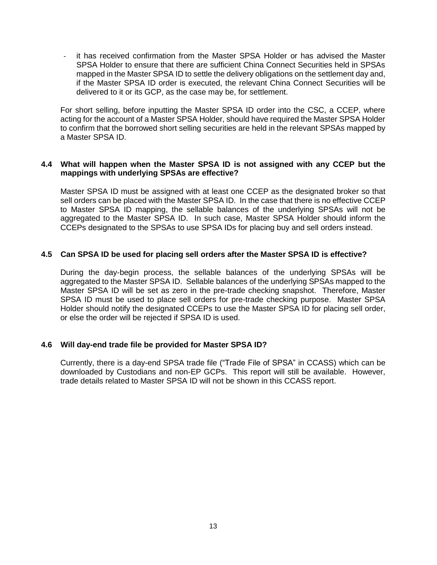it has received confirmation from the Master SPSA Holder or has advised the Master SPSA Holder to ensure that there are sufficient China Connect Securities held in SPSAs mapped in the Master SPSA ID to settle the delivery obligations on the settlement day and, if the Master SPSA ID order is executed, the relevant China Connect Securities will be delivered to it or its GCP, as the case may be, for settlement.

For short selling, before inputting the Master SPSA ID order into the CSC, a CCEP, where acting for the account of a Master SPSA Holder, should have required the Master SPSA Holder to confirm that the borrowed short selling securities are held in the relevant SPSAs mapped by a Master SPSA ID.

## **4.4 What will happen when the Master SPSA ID is not assigned with any CCEP but the mappings with underlying SPSAs are effective?**

Master SPSA ID must be assigned with at least one CCEP as the designated broker so that sell orders can be placed with the Master SPSA ID. In the case that there is no effective CCEP to Master SPSA ID mapping, the sellable balances of the underlying SPSAs will not be aggregated to the Master SPSA ID. In such case, Master SPSA Holder should inform the CCEPs designated to the SPSAs to use SPSA IDs for placing buy and sell orders instead.

## **4.5 Can SPSA ID be used for placing sell orders after the Master SPSA ID is effective?**

During the day-begin process, the sellable balances of the underlying SPSAs will be aggregated to the Master SPSA ID. Sellable balances of the underlying SPSAs mapped to the Master SPSA ID will be set as zero in the pre-trade checking snapshot. Therefore, Master SPSA ID must be used to place sell orders for pre-trade checking purpose. Master SPSA Holder should notify the designated CCEPs to use the Master SPSA ID for placing sell order, or else the order will be rejected if SPSA ID is used.

#### **4.6 Will day-end trade file be provided for Master SPSA ID?**

Currently, there is a day-end SPSA trade file ("Trade File of SPSA" in CCASS) which can be downloaded by Custodians and non-EP GCPs. This report will still be available. However, trade details related to Master SPSA ID will not be shown in this CCASS report.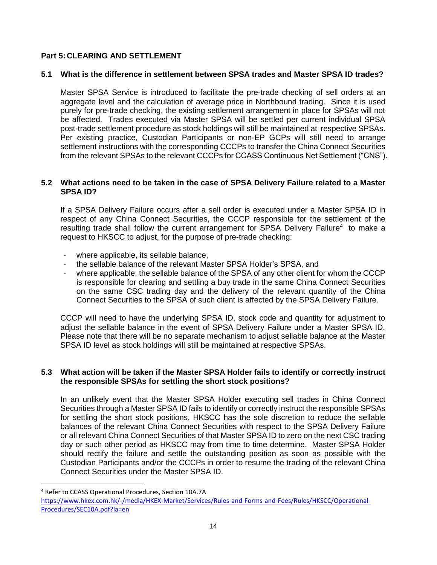# **Part 5: CLEARING AND SETTLEMENT**

## **5.1 What is the difference in settlement between SPSA trades and Master SPSA ID trades?**

Master SPSA Service is introduced to facilitate the pre-trade checking of sell orders at an aggregate level and the calculation of average price in Northbound trading. Since it is used purely for pre-trade checking, the existing settlement arrangement in place for SPSAs will not be affected. Trades executed via Master SPSA will be settled per current individual SPSA post-trade settlement procedure as stock holdings will still be maintained at respective SPSAs. Per existing practice, Custodian Participants or non-EP GCPs will still need to arrange settlement instructions with the corresponding CCCPs to transfer the China Connect Securities from the relevant SPSAs to the relevant CCCPs for CCASS Continuous Net Settlement ("CNS").

## <span id="page-13-0"></span>**5.2 What actions need to be taken in the case of SPSA Delivery Failure related to a Master SPSA ID?**

If a SPSA Delivery Failure occurs after a sell order is executed under a Master SPSA ID in respect of any China Connect Securities, the CCCP responsible for the settlement of the resulting trade shall follow the current arrangement for SPSA Delivery Failure<sup>4</sup> to make a request to HKSCC to adjust, for the purpose of pre-trade checking:

- where applicable, its sellable balance,
- the sellable balance of the relevant Master SPSA Holder's SPSA, and
- where applicable, the sellable balance of the SPSA of any other client for whom the CCCP is responsible for clearing and settling a buy trade in the same China Connect Securities on the same CSC trading day and the delivery of the relevant quantity of the China Connect Securities to the SPSA of such client is affected by the SPSA Delivery Failure.

CCCP will need to have the underlying SPSA ID, stock code and quantity for adjustment to adjust the sellable balance in the event of SPSA Delivery Failure under a Master SPSA ID. Please note that there will be no separate mechanism to adjust sellable balance at the Master SPSA ID level as stock holdings will still be maintained at respective SPSAs.

## <span id="page-13-1"></span>**5.3 What action will be taken if the Master SPSA Holder fails to identify or correctly instruct the responsible SPSAs for settling the short stock positions?**

In an unlikely event that the Master SPSA Holder executing sell trades in China Connect Securities through a Master SPSA ID fails to identify or correctly instruct the responsible SPSAs for settling the short stock positions, HKSCC has the sole discretion to reduce the sellable balances of the relevant China Connect Securities with respect to the SPSA Delivery Failure or all relevant China Connect Securities of that Master SPSA ID to zero on the next CSC trading day or such other period as HKSCC may from time to time determine. Master SPSA Holder should rectify the failure and settle the outstanding position as soon as possible with the Custodian Participants and/or the CCCPs in order to resume the trading of the relevant China Connect Securities under the Master SPSA ID.

 $\ddot{\phantom{a}}$ 

<sup>4</sup> Refer to CCASS Operational Procedures, Section 10A.7A

[https://www.hkex.com.hk/-/media/HKEX-Market/Services/Rules-and-Forms-and-Fees/Rules/HKSCC/Operational-](https://www.hkex.com.hk/-/media/HKEX-Market/Services/Rules-and-Forms-and-Fees/Rules/HKSCC/Operational-Procedures/SEC10A.pdf?la=en)[Procedures/SEC10A.pdf?la=en](https://www.hkex.com.hk/-/media/HKEX-Market/Services/Rules-and-Forms-and-Fees/Rules/HKSCC/Operational-Procedures/SEC10A.pdf?la=en)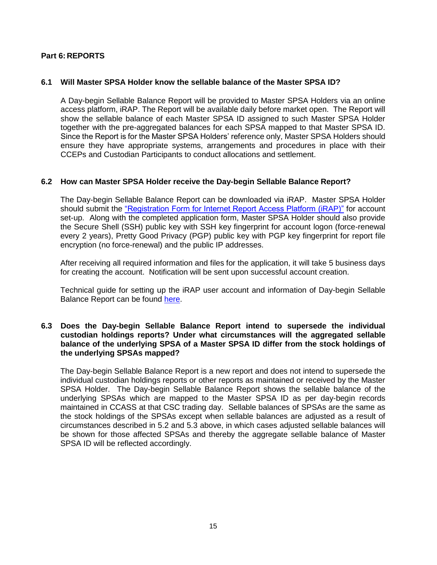# **Part 6: REPORTS**

## **6.1 Will Master SPSA Holder know the sellable balance of the Master SPSA ID?**

A Day-begin Sellable Balance Report will be provided to Master SPSA Holders via an online access platform, iRAP. The Report will be available daily before market open. The Report will show the sellable balance of each Master SPSA ID assigned to such Master SPSA Holder together with the pre-aggregated balances for each SPSA mapped to that Master SPSA ID. Since the Report is for the Master SPSA Holders' reference only, Master SPSA Holders should ensure they have appropriate systems, arrangements and procedures in place with their CCEPs and Custodian Participants to conduct allocations and settlement.

## **6.2 How can Master SPSA Holder receive the Day-begin Sellable Balance Report?**

The Day-begin Sellable Balance Report can be downloaded via iRAP. Master SPSA Holder should submit the ["Registration Form for Internet Report Access Platform](https://www.hkex.com.hk/-/media/HKEX-Market/Mutual-Market/Stock-Connect/Reference-Materials/Master-SPSA-Service/Registration_Form_for_Internet_Report_Access_Platform_(iRAP).pdf?la=en) (iRAP)" for account set-up. Along with the completed application form, Master SPSA Holder should also provide the Secure Shell (SSH) public key with SSH key fingerprint for account logon (force-renewal every 2 years), Pretty Good Privacy (PGP) public key with PGP key fingerprint for report file encryption (no force-renewal) and the public IP addresses.

After receiving all required information and files for the application, it will take 5 business days for creating the account. Notification will be sent upon successful account creation.

Technical guide for setting up the iRAP user account and information of Day-begin Sellable Balance Report can be found [here.](https://www.hkex.com.hk/-/media/HKEX-Market/Mutual-Market/Stock-Connect/Reference-Materials/Master-SPSA-Service/HKSCC_Internet_Report_Access_Platform_(iRAP)_Technical_Guide.pdf?la=en)

## **6.3 Does the Day-begin Sellable Balance Report intend to supersede the individual custodian holdings reports? Under what circumstances will the aggregated sellable balance of the underlying SPSA of a Master SPSA ID differ from the stock holdings of the underlying SPSAs mapped?**

The Day-begin Sellable Balance Report is a new report and does not intend to supersede the individual custodian holdings reports or other reports as maintained or received by the Master SPSA Holder. The Day-begin Sellable Balance Report shows the sellable balance of the underlying SPSAs which are mapped to the Master SPSA ID as per day-begin records maintained in CCASS at that CSC trading day. Sellable balances of SPSAs are the same as the stock holdings of the SPSAs except when sellable balances are adjusted as a result of circumstances described in [5.2](#page-13-0) and [5.3](#page-13-1) above, in which cases adjusted sellable balances will be shown for those affected SPSAs and thereby the aggregate sellable balance of Master SPSA ID will be reflected accordingly.